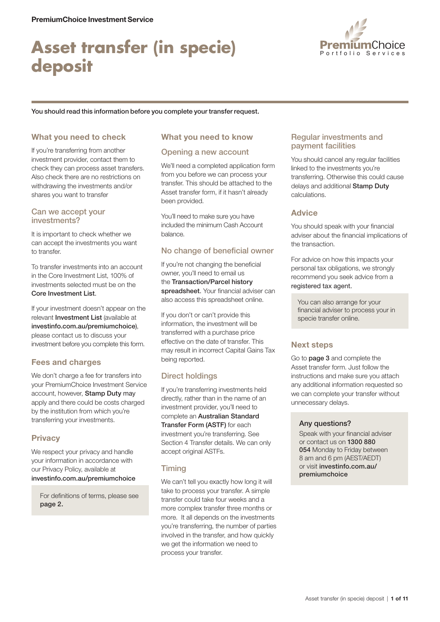# **Asset transfer (in specie) deposit**



#### You should read this information before you complete your transfer request.

### What you need to check

If you're transferring from another investment provider, contact them to check they can process asset transfers. Also check there are no restrictions on withdrawing the investments and/or shares you want to transfer

### Can we accept your investments?

It is important to check whether we can accept the investments you want to transfer.

To transfer investments into an account in the Core Investment List, 100% of investments selected must be on the Core Investment List.

If your investment doesn't appear on the relevant Investment List (available at [investinfo.com.au/premiumchoice](http://investinfo.com.au/premiumchoice)), please contact us to discuss your investment before you complete this form.

### Fees and charges

We don't charge a fee for transfers into your PremiumChoice Investment Service account, however, Stamp Duty may apply and there could be costs charged by the institution from which you're transferring your investments.

### **Privacy**

We respect your privacy and handle your information in accordance with our Privacy Policy, available at [investinfo.com.au/premiumchoice](http://investinfo.com.au/premiumchoice)

For definitions of terms, please see page 2.

### What you need to know

### Opening a new account

We'll need a completed application form from you before we can process your transfer. This should be attached to the Asset transfer form, if it hasn't already been provided.

You'll need to make sure you have included the minimum Cash Account balance.

### No change of beneficial owner

If you're not changing the beneficial owner, you'll need to email us the Transaction/Parcel history spreadsheet. Your financial adviser can also access this spreadsheet online.

If you don't or can't provide this information, the investment will be transferred with a purchase price effective on the date of transfer. This may result in incorrect Capital Gains Tax being reported.

### Direct holdings

If you're transferring investments held directly, rather than in the name of an investment provider, you'll need to complete an Australian Standard Transfer Form (ASTF) for each investment you're transferring. See Section 4 Transfer details. We can only accept original ASTFs.

### **Timing**

We can't tell you exactly how long it will take to process your transfer. A simple transfer could take four weeks and a more complex transfer three months or more. It all depends on the investments you're transferring, the number of parties involved in the transfer, and how quickly we get the information we need to process your transfer.

### Regular investments and payment facilities

You should cancel any regular facilities linked to the investments you're transferring. Otherwise this could cause delays and additional Stamp Duty calculations.

### Advice

You should speak with your financial adviser about the financial implications of the transaction.

For advice on how this impacts your personal tax obligations, we strongly recommend you seek advice from a registered tax agent.

You can also arrange for your financial adviser to process your in specie transfer online.

### Next steps

Go to page 3 and complete the Asset transfer form. Just follow the instructions and make sure you attach any additional information requested so we can complete your transfer without unnecessary delays.

### Any questions?

Speak with your financial adviser or contact us on 1300 880 054 Monday to Friday between 8 am and 6 pm (AEST/AEDT) or visit [investinfo.com.au/](http://investinfo.com.au/premiumchoice) [premiumchoice](http://investinfo.com.au/premiumchoice)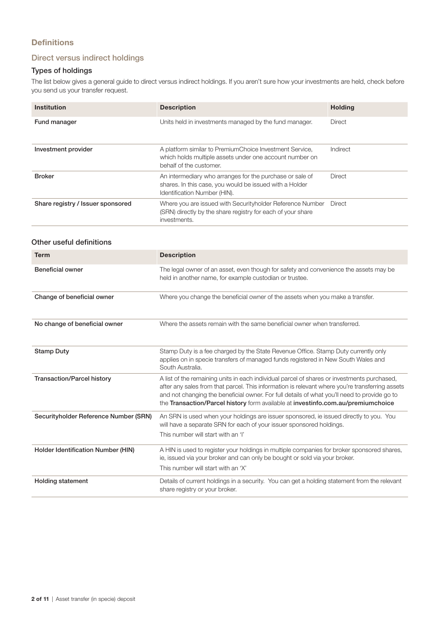### **Definitions**

### Direct versus indirect holdings

### Types of holdings

The list below gives a general guide to direct versus indirect holdings. If you aren't sure how your investments are held, check before you send us your transfer request.

| <b>Institution</b>                | <b>Description</b>                                                                                                                                  | <b>Holding</b> |
|-----------------------------------|-----------------------------------------------------------------------------------------------------------------------------------------------------|----------------|
| Fund manager                      | Units held in investments managed by the fund manager.                                                                                              | Direct         |
| Investment provider               | A platform similar to PremiumChoice Investment Service,<br>which holds multiple assets under one account number on<br>behalf of the customer.       | Indirect       |
| <b>Broker</b>                     | An intermediary who arranges for the purchase or sale of<br>shares. In this case, you would be issued with a Holder<br>Identification Number (HIN). | Direct         |
| Share registry / Issuer sponsored | Where you are issued with Securityholder Reference Number<br>(SRN) directly by the share registry for each of your share<br>investments.            | Direct         |

### Other useful definitions

| <b>Term</b>                           | <b>Description</b>                                                                                                                                                                                                                                                                                                                                                                 |
|---------------------------------------|------------------------------------------------------------------------------------------------------------------------------------------------------------------------------------------------------------------------------------------------------------------------------------------------------------------------------------------------------------------------------------|
| <b>Beneficial owner</b>               | The legal owner of an asset, even though for safety and convenience the assets may be<br>held in another name, for example custodian or trustee.                                                                                                                                                                                                                                   |
| Change of beneficial owner            | Where you change the beneficial owner of the assets when you make a transfer.                                                                                                                                                                                                                                                                                                      |
| No change of beneficial owner         | Where the assets remain with the same beneficial owner when transferred.                                                                                                                                                                                                                                                                                                           |
| <b>Stamp Duty</b>                     | Stamp Duty is a fee charged by the State Revenue Office. Stamp Duty currently only<br>applies on in specie transfers of managed funds registered in New South Wales and<br>South Australia.                                                                                                                                                                                        |
| <b>Transaction/Parcel history</b>     | A list of the remaining units in each individual parcel of shares or investments purchased,<br>after any sales from that parcel. This information is relevant where you're transferring assets<br>and not changing the beneficial owner. For full details of what you'll need to provide go to<br>the Transaction/Parcel history form available at investinfo.com.au/premiumchoice |
| Securityholder Reference Number (SRN) | An SRN is used when your holdings are issuer sponsored, ie issued directly to you. You<br>will have a separate SRN for each of your issuer sponsored holdings.                                                                                                                                                                                                                     |
|                                       | This number will start with an 'I'                                                                                                                                                                                                                                                                                                                                                 |
| Holder Identification Number (HIN)    | A HIN is used to register your holdings in multiple companies for broker sponsored shares,<br>ie, issued via your broker and can only be bought or sold via your broker.<br>This number will start with an 'X'                                                                                                                                                                     |
| <b>Holding statement</b>              | Details of current holdings in a security. You can get a holding statement from the relevant<br>share registry or your broker.                                                                                                                                                                                                                                                     |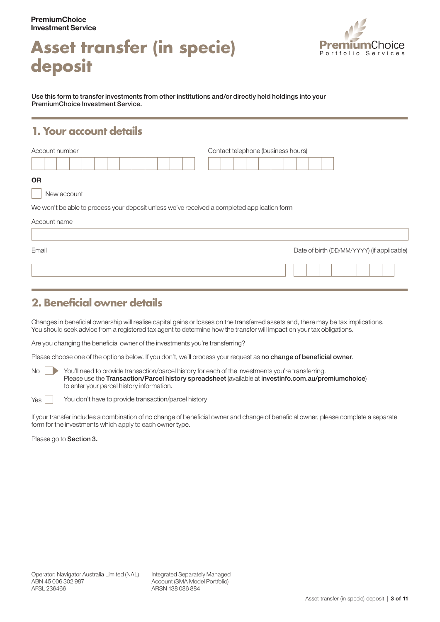## **Asset transfer (in specie)** PremiumChoice **deposit**



Use this form to transfer investments from other institutions and/or directly held holdings into your PremiumChoice Investment Service.

### **1. Your account details**

| Account number                                                                              | Contact telephone (business hours)         |
|---------------------------------------------------------------------------------------------|--------------------------------------------|
|                                                                                             |                                            |
| <b>OR</b>                                                                                   |                                            |
| New account                                                                                 |                                            |
| We won't be able to process your deposit unless we've received a completed application form |                                            |
| Account name                                                                                |                                            |
|                                                                                             |                                            |
| Email                                                                                       | Date of birth (DD/MM/YYYY) (if applicable) |
|                                                                                             |                                            |

 $\begin{array}{c} \hline \end{array}$ 

## **2. Beneficial owner details**

Changes in beneficial ownership will realise capital gains or losses on the transferred assets and, there may be tax implications. You should seek advice from a registered tax agent to determine how the transfer will impact on your tax obligations.

Are you changing the beneficial owner of the investments you're transferring?

Please choose one of the options below. If you don't, we'll process your request as no change of beneficial owner.

| <b>No</b> | You'll need to provide transac      |  |
|-----------|-------------------------------------|--|
|           | Please use the <b>Transaction/F</b> |  |

tion/parcel history for each of the investments you're transferring. Parcel history spreadsheet (available at [investinfo.com.au/premiumchoice](http://investinfo.com.au/premiumchoice)) to enter your parcel history information.



Yes  $\Box$  You don't have to provide transaction/parcel history

If your transfer includes a combination of no change of beneficial owner and change of beneficial owner, please complete a separate form for the investments which apply to each owner type.

Please go to Section 3.

Integrated Separately Managed Account (SMA Model Portfolio) ARSN 138 086 884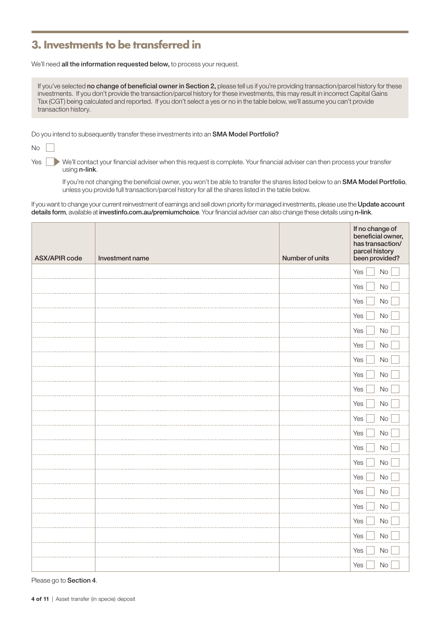### **3. Investments to be transferred in**

We'll need all the information requested below, to process your request.

If you've selected no change of beneficial owner in Section 2, please tell us if you're providing transaction/parcel history for these investments. If you don't provide the transaction/parcel history for these investments, this may result in incorrect Capital Gains Tax (CGT) being calculated and reported. If you don't select a yes or no in the table below, we'll assume you can't provide transaction history.

Do you intend to subsequently transfer these investments into an **SMA Model Portfolio?** 

| ۰. |  |
|----|--|
|    |  |

Yes We'll contact your financial adviser when this request is complete. Your financial adviser can then process your transfer using n-link.

If you're not changing the beneficial owner, you won't be able to transfer the shares listed below to an SMA Model Portfolio, unless you provide full transaction/parcel history for all the shares listed in the table below.

If you want to change your current reinvestment of earnings and sell down priority for managed investments, please use the Update account details form, available at [investinfo.com.au/premiumchoice](http://investinfo.com.au/premiumchoice). Your financial adviser can also change these details using n-link.

| <b>ASX/APIR code</b> | Investment name | Number of units | If no change of<br>beneficial owner,<br>has transaction/<br>parcel history<br>been provided? |
|----------------------|-----------------|-----------------|----------------------------------------------------------------------------------------------|
|                      |                 |                 | Yes<br>No                                                                                    |
|                      |                 |                 | Yes<br>No                                                                                    |
|                      |                 |                 | Yes<br>$\rm No$                                                                              |
|                      |                 |                 | Yes<br><b>No</b>                                                                             |
|                      |                 |                 | No<br>Yes                                                                                    |
|                      |                 |                 | No<br>Yes                                                                                    |
|                      |                 |                 | Yes<br><b>No</b>                                                                             |
|                      |                 |                 | No<br>Yes                                                                                    |
|                      |                 |                 | No<br>Yes                                                                                    |
|                      |                 |                 | Yes<br><b>No</b>                                                                             |
|                      |                 |                 | No<br>Yes                                                                                    |
|                      |                 |                 | No<br>Yes                                                                                    |
|                      |                 |                 | <b>No</b><br>Yes                                                                             |
|                      |                 |                 | Yes<br><b>No</b>                                                                             |
|                      |                 |                 | No<br>Yes                                                                                    |
|                      |                 |                 | Yes<br><b>No</b>                                                                             |
|                      |                 |                 | No<br>Yes                                                                                    |
|                      |                 |                 | No<br>Yes                                                                                    |
|                      |                 |                 | Yes<br>No                                                                                    |
|                      |                 |                 | No<br>Yes                                                                                    |
|                      |                 |                 | Yes<br>No                                                                                    |

Please go to Section 4.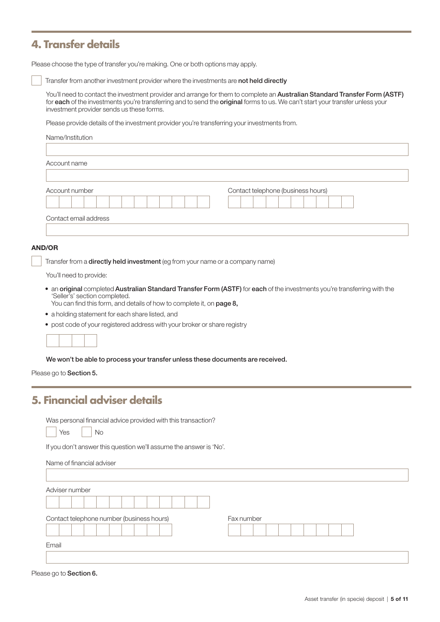### **4. Transfer details**

Please choose the type of transfer you're making. One or both options may apply.

Transfer from another investment provider where the investments are not held directly

You'll need to contact the investment provider and arrange for them to complete an Australian Standard Transfer Form (ASTF) for each of the investments you're transferring and to send the original forms to us. We can't start your transfer unless your investment provider sends us these forms.

Please provide details of the investment provider you're transferring your investments from.

#### Name/Institution

| Account name          |                                    |
|-----------------------|------------------------------------|
| Account number        | Contact telephone (business hours) |
| Contact email address |                                    |

#### AND/OR

Transfer from a directly held investment (eg from your name or a company name)

You'll need to provide:

• an original completed Australian Standard Transfer Form (ASTF) for each of the investments you're transferring with the 'Seller's' section completed.

You can find this form, and details of how to complete it, on **page 8,** 

- a holding statement for each share listed, and
- post code of your registered address with your broker or share registry

We won't be able to process your transfer unless these documents are received.

Please go to Section 5.

### **5. Financial adviser details**

Was personal financial advice provided with this transaction?

| Yes |  | Nο |
|-----|--|----|
|-----|--|----|

If you don't answer this question we'll assume the answer is 'No'.

| Name of financial adviser                 |            |
|-------------------------------------------|------------|
|                                           |            |
| Adviser number                            |            |
|                                           |            |
|                                           |            |
| Contact telephone number (business hours) | Fax number |
|                                           |            |
| Email                                     |            |
|                                           |            |

Please go to Section 6.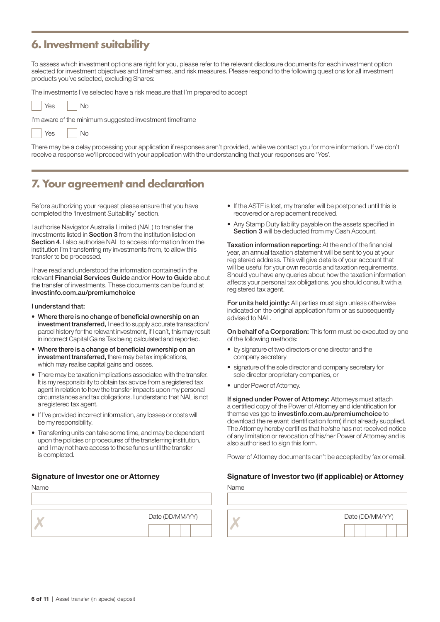### **6. Investment suitability**

To assess which investment options are right for you, please refer to the relevant disclosure documents for each investment option selected for investment objectives and timeframes, and risk measures. Please respond to the following questions for all investment products you've selected, excluding Shares:

The investments I've selected have a risk measure that I'm prepared to accept



I'm aware of the minimum suggested investment timeframe



There may be a delay processing your application if responses aren't provided, while we contact you for more information. If we don't receive a response we'll proceed with your application with the understanding that your responses are 'Yes'.

## **7. Your agreement and declaration**

Before authorizing your request please ensure that you have completed the 'Investment Suitability' section.

I authorise Navigator Australia Limited (NAL) to transfer the investments listed in Section 3 from the institution listed on Section 4. I also authorise NAL to access information from the institution I'm transferring my investments from, to allow this transfer to be processed.

I have read and understood the information contained in the relevant Financial Services Guide and/or How to Guide about the transfer of investments. These documents can be found at [investinfo.com.au/premiumchoice](http://investinfo.com.au/premiumchoice)

#### I understand that:

- Where there is no change of beneficial ownership on an investment transferred, I need to supply accurate transaction/ parcel history for the relevant investment, if I can't, this may result in incorrect Capital Gains Tax being calculated and reported.
- Where there is a change of beneficial ownership on an investment transferred, there may be tax implications, which may realise capital gains and losses.
- There may be taxation implications associated with the transfer. It is my responsibility to obtain tax advice from a registered tax agent in relation to how the transfer impacts upon my personal circumstances and tax obligations. I understand that NAL is not a registered tax agent.
- If I've provided incorrect information, any losses or costs will be my responsibility.
- Transferring units can take some time, and may be dependent upon the policies or procedures of the transferring institution, and I may not have access to these funds until the transfer is completed.

| Name |                 | Name |
|------|-----------------|------|
|      |                 |      |
|      | Date (DD/MM/YY) |      |
|      |                 |      |

- If the ASTF is lost, my transfer will be postponed until this is recovered or a replacement received.
- Any Stamp Duty liability payable on the assets specified in Section 3 will be deducted from my Cash Account.

Taxation information reporting: At the end of the financial year, an annual taxation statement will be sent to you at your registered address. This will give details of your account that will be useful for your own records and taxation requirements. Should you have any queries about how the taxation information affects your personal tax obligations, you should consult with a registered tax agent.

For units held jointly: All parties must sign unless otherwise indicated on the original application form or as subsequently advised to NAL.

On behalf of a Corporation: This form must be executed by one of the following methods:

- by signature of two directors or one director and the company secretary
- signature of the sole director and company secretary for sole director proprietary companies, or
- under Power of Attorney.

If signed under Power of Attorney: Attorneys must attach a certified copy of the Power of Attorney and identification for themselves (go to [investinfo.com.au/premiumchoice](http://investinfo.com.au/premiumchoice) to download the relevant identification form) if not already supplied. The Attorney hereby certifies that he/she has not received notice of any limitation or revocation of his/her Power of Attorney and is also authorised to sign this form.

Power of Attorney documents can't be accepted by fax or email.

### Signature of Investor one or Attorney Signature of Investor two (if applicable) or Attorney

| Date (DD/MM/YY) |  | Date (DD/MM/YY) |  |
|-----------------|--|-----------------|--|
|                 |  |                 |  |
|                 |  |                 |  |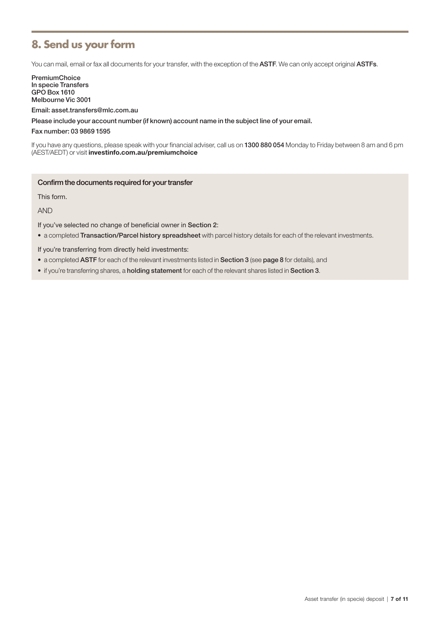### **8. Send us your form**

You can mail, email or fax all documents for your transfer, with the exception of the ASTF. We can only accept original ASTFs.

**PremiumChoice** In specie Transfers **GPO Box 1610** Melbourne Vic 3001

Email: [asset.transfers@mlc.com.au](mailto:asset.transfers@mlc.com.au)

Please include your account number (if known) account name in the subject line of your email.

#### Fax number: 03 9869 1595

If you have any questions, please speak with your financial adviser, call us on 1300 880 054 Monday to Friday between 8 am and 6 pm (AEST/AEDT) or visit [investinfo.com.au/premiumchoice](http://investinfo.com.au/premiumchoice)

#### Confirm the documents required for your transfer

This form.

AND

If you've selected no change of beneficial owner in Section 2:

• a completed Transaction/Parcel history spreadsheet with parcel history details for each of the relevant investments.

#### If you're transferring from directly held investments:

- a completed ASTF for each of the relevant investments listed in Section 3 (see page 8 for details), and
- if you're transferring shares, a holding statement for each of the relevant shares listed in Section 3.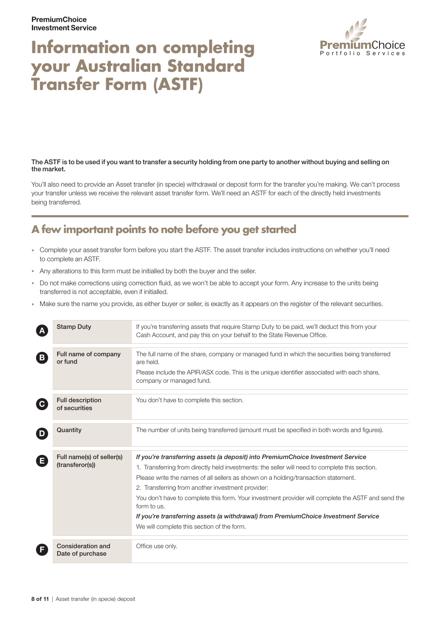

## **Information on completing PremiumChoice your Australian Standard Transfer Form (ASTF)**

#### The ASTF is to be used if you want to transfer a security holding from one party to another without buying and selling on the market.

You'll also need to provide an Asset transfer (in specie) withdrawal or deposit form for the transfer you're making. We can't process your transfer unless we receive the relevant asset transfer form. We'll need an ASTF for each of the directly held investments being transferred.

## **A few important points to note before you get started**

- Complete your asset transfer form before you start the ASTF. The asset transfer includes instructions on whether you'll need to complete an ASTF.
- Any alterations to this form must be initialled by both the buyer and the seller.
- Do not make corrections using correction fluid, as we won't be able to accept your form. Any increase to the units being transferred is not acceptable, even if initialled.
- Make sure the name you provide, as either buyer or seller, is exactly as it appears on the register of the relevant securities.

|              | <b>Stamp Duty</b>                            | If you're transferring assets that require Stamp Duty to be paid, we'll deduct this from your<br>Cash Account, and pay this on your behalf to the State Revenue Office.                                                                                                                                                                                                                                                                                                                                                                                                               |
|--------------|----------------------------------------------|---------------------------------------------------------------------------------------------------------------------------------------------------------------------------------------------------------------------------------------------------------------------------------------------------------------------------------------------------------------------------------------------------------------------------------------------------------------------------------------------------------------------------------------------------------------------------------------|
| <b>B</b>     | Full name of company<br>or fund              | The full name of the share, company or managed fund in which the securities being transferred<br>are held.<br>Please include the APIR/ASX code. This is the unique identifier associated with each share,<br>company or managed fund.                                                                                                                                                                                                                                                                                                                                                 |
|              | <b>Full description</b><br>of securities     | You don't have to complete this section.                                                                                                                                                                                                                                                                                                                                                                                                                                                                                                                                              |
| Quantity     |                                              | The number of units being transferred (amount must be specified in both words and figures).                                                                                                                                                                                                                                                                                                                                                                                                                                                                                           |
| $\mathbf{F}$ | Full name(s) of seller(s)<br>(transferor(s)) | If you're transferring assets (a deposit) into PremiumChoice Investment Service<br>1. Transferring from directly held investments: the seller will need to complete this section.<br>Please write the names of all sellers as shown on a holding/transaction statement.<br>2. Transferring from another investment provider:<br>You don't have to complete this form. Your investment provider will complete the ASTF and send the<br>form to us.<br>If you're transferring assets (a withdrawal) from PremiumChoice Investment Service<br>We will complete this section of the form. |
|              | Consideration and<br>Date of purchase        | Office use only.                                                                                                                                                                                                                                                                                                                                                                                                                                                                                                                                                                      |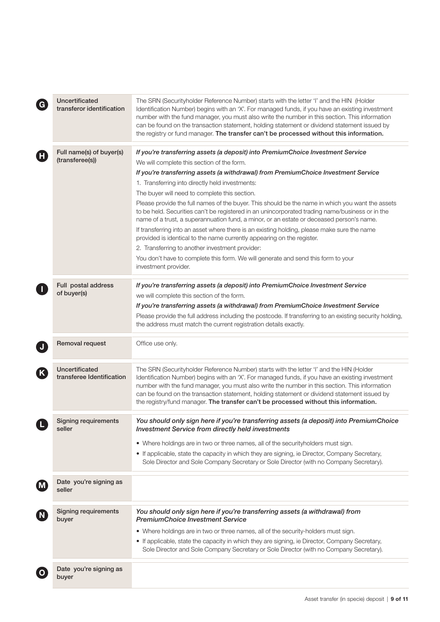| $\mathbf{G}$ | Uncertificated<br>transferor identification        | The SRN (Securityholder Reference Number) starts with the letter 'I' and the HIN (Holder<br>Identification Number) begins with an 'X'. For managed funds, if you have an existing investment<br>number with the fund manager, you must also write the number in this section. This information<br>can be found on the transaction statement, holding statement or dividend statement issued by<br>the registry or fund manager. The transfer can't be processed without this information. |
|--------------|----------------------------------------------------|-------------------------------------------------------------------------------------------------------------------------------------------------------------------------------------------------------------------------------------------------------------------------------------------------------------------------------------------------------------------------------------------------------------------------------------------------------------------------------------------|
|              | Full name(s) of buyer(s)                           | If you're transferring assets (a deposit) into PremiumChoice Investment Service                                                                                                                                                                                                                                                                                                                                                                                                           |
| Н            | (transferee(s))                                    | We will complete this section of the form.                                                                                                                                                                                                                                                                                                                                                                                                                                                |
|              |                                                    | If you're transferring assets (a withdrawal) from PremiumChoice Investment Service                                                                                                                                                                                                                                                                                                                                                                                                        |
|              |                                                    | 1. Transferring into directly held investments:                                                                                                                                                                                                                                                                                                                                                                                                                                           |
|              |                                                    | The buyer will need to complete this section.                                                                                                                                                                                                                                                                                                                                                                                                                                             |
|              |                                                    | Please provide the full names of the buyer. This should be the name in which you want the assets<br>to be held. Securities can't be registered in an unincorporated trading name/business or in the<br>name of a trust, a superannuation fund, a minor, or an estate or deceased person's name.                                                                                                                                                                                           |
|              |                                                    | If transferring into an asset where there is an existing holding, please make sure the name<br>provided is identical to the name currently appearing on the register.                                                                                                                                                                                                                                                                                                                     |
|              |                                                    | 2. Transferring to another investment provider:                                                                                                                                                                                                                                                                                                                                                                                                                                           |
|              |                                                    | You don't have to complete this form. We will generate and send this form to your<br>investment provider.                                                                                                                                                                                                                                                                                                                                                                                 |
|              | Full postal address<br>of buyer(s)                 | If you're transferring assets (a deposit) into PremiumChoice Investment Service<br>we will complete this section of the form.                                                                                                                                                                                                                                                                                                                                                             |
|              |                                                    | If you're transferring assets (a withdrawal) from PremiumChoice Investment Service                                                                                                                                                                                                                                                                                                                                                                                                        |
|              |                                                    | Please provide the full address including the postcode. If transferring to an existing security holding,<br>the address must match the current registration details exactly.                                                                                                                                                                                                                                                                                                              |
| $\mathbf{J}$ | Removal request                                    | Office use only.                                                                                                                                                                                                                                                                                                                                                                                                                                                                          |
| $\mathbf K$  | <b>Uncertificated</b><br>transferee Identification | The SRN (Securityholder Reference Number) starts with the letter 'I' and the HIN (Holder<br>Identification Number) begins with an 'X'. For managed funds, if you have an existing investment<br>number with the fund manager, you must also write the number in this section. This information<br>can be found on the transaction statement, holding statement or dividend statement issued by<br>the registry/fund manager. The transfer can't be processed without this information.    |
|              | <b>Signing requirements</b><br>seller              | You should only sign here if you're transferring assets (a deposit) into PremiumChoice<br><b>Investment Service from directly held investments</b>                                                                                                                                                                                                                                                                                                                                        |
|              |                                                    | • Where holdings are in two or three names, all of the security holders must sign.                                                                                                                                                                                                                                                                                                                                                                                                        |
|              |                                                    | • If applicable, state the capacity in which they are signing, ie Director, Company Secretary,<br>Sole Director and Sole Company Secretary or Sole Director (with no Company Secretary).                                                                                                                                                                                                                                                                                                  |
|              | Date you're signing as<br>seller                   |                                                                                                                                                                                                                                                                                                                                                                                                                                                                                           |
|              | <b>Signing requirements</b><br>buyer               | You should only sign here if you're transferring assets (a withdrawal) from<br><b>PremiumChoice Investment Service</b>                                                                                                                                                                                                                                                                                                                                                                    |
|              |                                                    | • Where holdings are in two or three names, all of the security-holders must sign.                                                                                                                                                                                                                                                                                                                                                                                                        |
|              |                                                    | • If applicable, state the capacity in which they are signing, ie Director, Company Secretary,<br>Sole Director and Sole Company Secretary or Sole Director (with no Company Secretary).                                                                                                                                                                                                                                                                                                  |
|              | Date you're signing as<br>buyer                    |                                                                                                                                                                                                                                                                                                                                                                                                                                                                                           |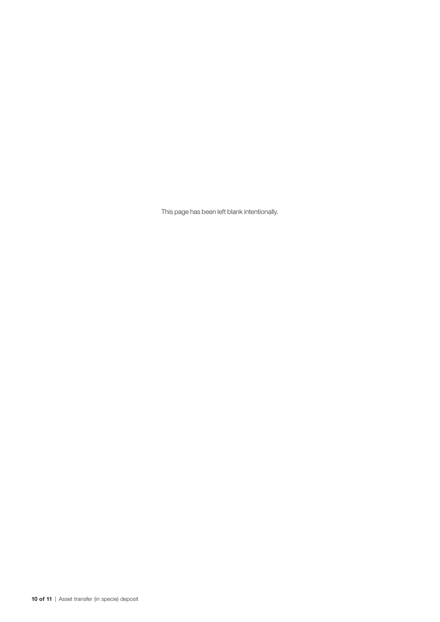This page has been left blank intentionally.